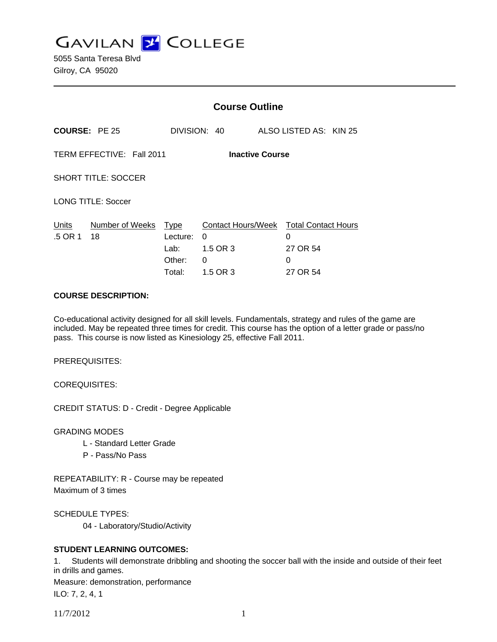**GAVILAN Z COLLEGE** 

5055 Santa Teresa Blvd Gilroy, CA 95020

|                                                     |                            | <b>Course Outline</b>                |                                |                                                                          |  |
|-----------------------------------------------------|----------------------------|--------------------------------------|--------------------------------|--------------------------------------------------------------------------|--|
| <b>COURSE: PE 25</b>                                |                            |                                      | DIVISION: 40                   | ALSO LISTED AS: KIN 25                                                   |  |
| TERM EFFECTIVE: Fall 2011<br><b>Inactive Course</b> |                            |                                      |                                |                                                                          |  |
| <b>SHORT TITLE: SOCCER</b>                          |                            |                                      |                                |                                                                          |  |
| <b>LONG TITLE: Soccer</b>                           |                            |                                      |                                |                                                                          |  |
| Units<br>.5 OR 1                                    | Number of Weeks Type<br>18 | Lecture:<br>Lab:<br>Other:<br>Total: | 0<br>1.5 OR 3<br>0<br>1.5 OR 3 | Contact Hours/Week Total Contact Hours<br>0<br>27 OR 54<br>0<br>27 OR 54 |  |

#### **COURSE DESCRIPTION:**

Co-educational activity designed for all skill levels. Fundamentals, strategy and rules of the game are included. May be repeated three times for credit. This course has the option of a letter grade or pass/no pass. This course is now listed as Kinesiology 25, effective Fall 2011.

PREREQUISITES:

COREQUISITES:

CREDIT STATUS: D - Credit - Degree Applicable

GRADING MODES

- L Standard Letter Grade
- P Pass/No Pass

REPEATABILITY: R - Course may be repeated Maximum of 3 times

SCHEDULE TYPES:

04 - Laboratory/Studio/Activity

### **STUDENT LEARNING OUTCOMES:**

1. Students will demonstrate dribbling and shooting the soccer ball with the inside and outside of their feet in drills and games. Measure: demonstration, performance

ILO: 7, 2, 4, 1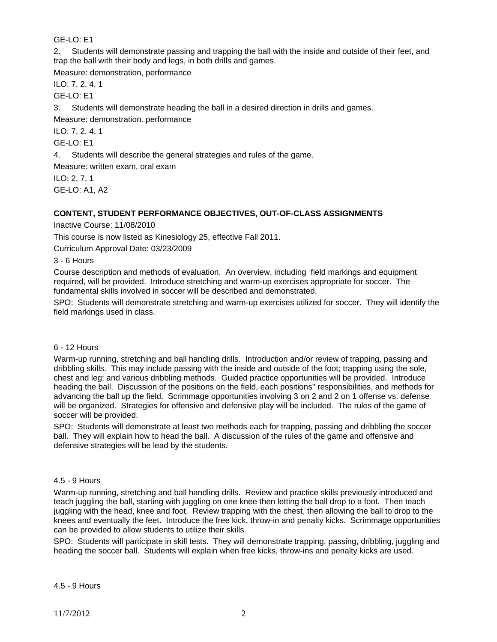GE-LO: E1

2. Students will demonstrate passing and trapping the ball with the inside and outside of their feet, and trap the ball with their body and legs, in both drills and games.

Measure: demonstration, performance

ILO: 7, 2, 4, 1

GE-LO: E1

3. Students will demonstrate heading the ball in a desired direction in drills and games.

Measure: demonstration. performance

ILO: 7, 2, 4, 1

GE-LO: E1

4. Students will describe the general strategies and rules of the game.

Measure: written exam, oral exam

ILO: 2, 7, 1 GE-LO: A1, A2

## **CONTENT, STUDENT PERFORMANCE OBJECTIVES, OUT-OF-CLASS ASSIGNMENTS**

Inactive Course: 11/08/2010

This course is now listed as Kinesiology 25, effective Fall 2011.

Curriculum Approval Date: 03/23/2009

3 - 6 Hours

Course description and methods of evaluation. An overview, including field markings and equipment required, will be provided. Introduce stretching and warm-up exercises appropriate for soccer. The fundamental skills involved in soccer will be described and demonstrated.

SPO: Students will demonstrate stretching and warm-up exercises utilized for soccer. They will identify the field markings used in class.

### 6 - 12 Hours

Warm-up running, stretching and ball handling drills. Introduction and/or review of trapping, passing and dribbling skills. This may include passing with the inside and outside of the foot; trapping using the sole, chest and leg; and various dribbling methods. Guided practice opportunities will be provided. Introduce heading the ball. Discussion of the positions on the field, each positions'' responsibilities, and methods for advancing the ball up the field. Scrimmage opportunities involving 3 on 2 and 2 on 1 offense vs. defense will be organized. Strategies for offensive and defensive play will be included. The rules of the game of soccer will be provided.

SPO: Students will demonstrate at least two methods each for trapping, passing and dribbling the soccer ball. They will explain how to head the ball. A discussion of the rules of the game and offensive and defensive strategies will be lead by the students.

### 4.5 - 9 Hours

Warm-up running, stretching and ball handling drills. Review and practice skills previously introduced and teach juggling the ball, starting with juggling on one knee then letting the ball drop to a foot. Then teach juggling with the head, knee and foot. Review trapping with the chest, then allowing the ball to drop to the knees and eventually the feet. Introduce the free kick, throw-in and penalty kicks. Scrimmage opportunities can be provided to allow students to utilize their skills.

SPO: Students will participate in skill tests. They will demonstrate trapping, passing, dribbling, juggling and heading the soccer ball. Students will explain when free kicks, throw-ins and penalty kicks are used.

4.5 - 9 Hours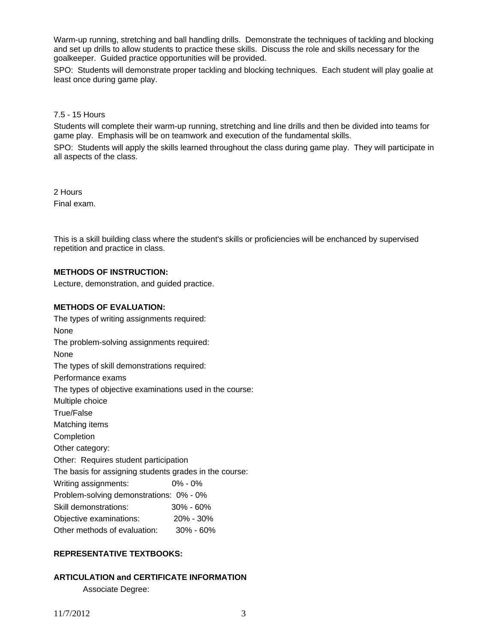Warm-up running, stretching and ball handling drills. Demonstrate the techniques of tackling and blocking and set up drills to allow students to practice these skills. Discuss the role and skills necessary for the goalkeeper. Guided practice opportunities will be provided.

SPO: Students will demonstrate proper tackling and blocking techniques. Each student will play goalie at least once during game play.

### 7.5 - 15 Hours

Students will complete their warm-up running, stretching and line drills and then be divided into teams for game play. Emphasis will be on teamwork and execution of the fundamental skills.

SPO: Students will apply the skills learned throughout the class during game play. They will participate in all aspects of the class.

2 Hours Final exam.

This is a skill building class where the student's skills or proficiencies will be enchanced by supervised repetition and practice in class.

### **METHODS OF INSTRUCTION:**

Lecture, demonstration, and guided practice.

### **METHODS OF EVALUATION:**

The types of writing assignments required: None The problem-solving assignments required: None The types of skill demonstrations required: Performance exams The types of objective examinations used in the course: Multiple choice True/False Matching items Completion Other category: Other: Requires student participation The basis for assigning students grades in the course: Writing assignments: 0% - 0% Problem-solving demonstrations: 0% - 0% Skill demonstrations: 30% - 60% Objective examinations: 20% - 30% Other methods of evaluation: 30% - 60%

### **REPRESENTATIVE TEXTBOOKS:**

# **ARTICULATION and CERTIFICATE INFORMATION**

Associate Degree: